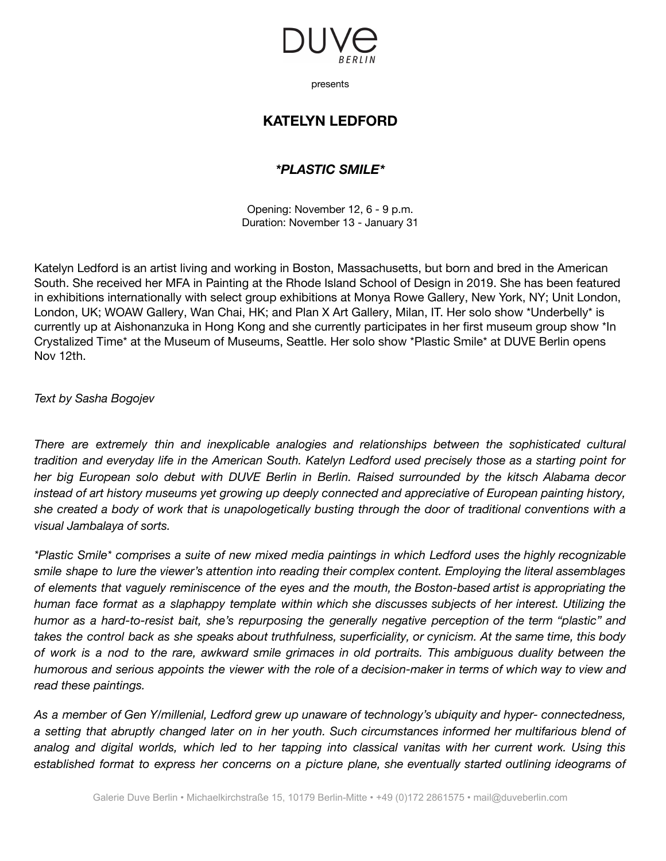

presents

## **KATELYN LEDFORD**

## *\*PLASTIC SMILE\**

Opening: November 12, 6 - 9 p.m. Duration: November 13 - January 31

Katelyn Ledford is an artist living and working in Boston, Massachusetts, but born and bred in the American South. She received her MFA in Painting at the Rhode Island School of Design in 2019. She has been featured in exhibitions internationally with select group exhibitions at Monya Rowe Gallery, New York, NY; Unit London, London, UK; WOAW Gallery, Wan Chai, HK; and Plan X Art Gallery, Milan, IT. Her solo show \*Underbelly\* is currently up at Aishonanzuka in Hong Kong and she currently participates in her first museum group show \*In Crystalized Time\* at the Museum of Museums, Seattle. Her solo show \*Plastic Smile\* at DUVE Berlin opens Nov 12th.

*Text by Sasha Bogojev*

*There are extremely thin and inexplicable analogies and relationships between the sophisticated cultural* tradition and everyday life in the American South. Katelyn Ledford used precisely those as a starting point for *her big European solo debut with DUVE Berlin in Berlin. Raised surrounded by the kitsch Alabama decor instead of art history museums yet growing up deeply connected and appreciative of European painting history,* she created a body of work that is unapologetically busting through the door of traditional conventions with a *visual Jambalaya of sorts.*

\*Plastic Smile\* comprises a suite of new mixed media paintings in which Ledford uses the highly recognizable *smile shape to lure the viewer's attention into reading their complex content. Employing the literal assemblages* of elements that vaguely reminiscence of the eyes and the mouth, the Boston-based artist is appropriating the human face format as a slaphappy template within which she discusses subjects of her interest. Utilizing the *humor as a hard-to-resist bait, she's repurposing the generally negative perception of the term "plastic" and* takes the control back as she speaks about truthfulness, superficiality, or cynicism. At the same time, this body of work is a nod to the rare, awkward smile grimaces in old portraits. This ambiguous duality between the humorous and serious appoints the viewer with the role of a decision-maker in terms of which way to view and *read these paintings.*

*As a member of Gen Y/millenial, Ledford grew up unaware of technology's ubiquity and hyper- connectedness,* a setting that abruptly changed later on in her youth. Such circumstances informed her multifarious blend of analog and digital worlds, which led to her tapping into classical vanitas with her current work. Using this *established format to express her concerns on a picture plane, she eventually started outlining ideograms of*